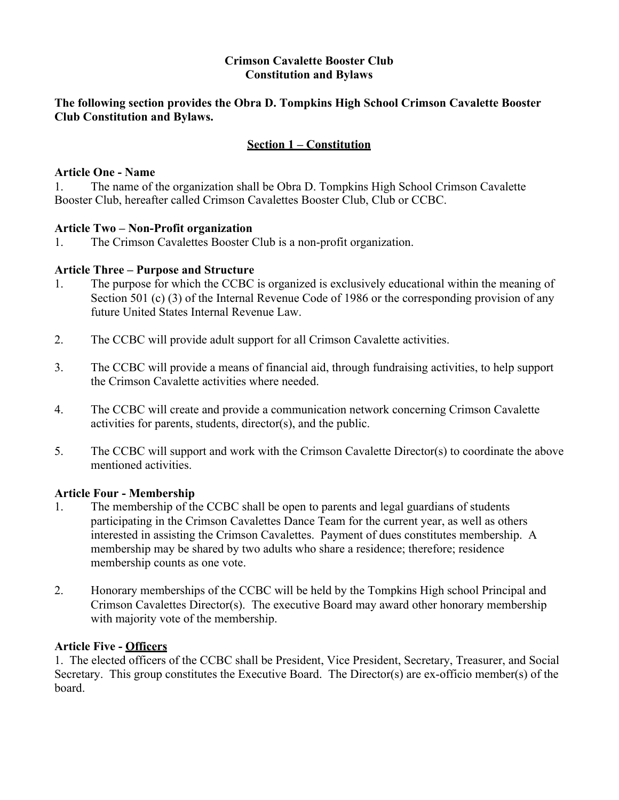### **Crimson Cavalette Booster Club Constitution and Bylaws**

### **The following section provides the Obra D. Tompkins High School Crimson Cavalette Booster Club Constitution and Bylaws.**

## **Section 1 – Constitution**

### **Article One - Name**

1. The name of the organization shall be Obra D. Tompkins High School Crimson Cavalette Booster Club, hereafter called Crimson Cavalettes Booster Club, Club or CCBC.

## **Article Two – Non-Profit organization**

1. The Crimson Cavalettes Booster Club is a non-profit organization.

## **Article Three – Purpose and Structure**

- 1. The purpose for which the CCBC is organized is exclusively educational within the meaning of Section 501 (c) (3) of the Internal Revenue Code of 1986 or the corresponding provision of any future United States Internal Revenue Law.
- 2. The CCBC will provide adult support for all Crimson Cavalette activities.
- 3. The CCBC will provide a means of financial aid, through fundraising activities, to help support the Crimson Cavalette activities where needed.
- 4. The CCBC will create and provide a communication network concerning Crimson Cavalette activities for parents, students, director(s), and the public.
- 5. The CCBC will support and work with the Crimson Cavalette Director(s) to coordinate the above mentioned activities.

#### **Article Four - Membership**

- 1. The membership of the CCBC shall be open to parents and legal guardians of students participating in the Crimson Cavalettes Dance Team for the current year, as well as others interested in assisting the Crimson Cavalettes. Payment of dues constitutes membership. A membership may be shared by two adults who share a residence; therefore; residence membership counts as one vote.
- 2. Honorary memberships of the CCBC will be held by the Tompkins High school Principal and Crimson Cavalettes Director(s). The executive Board may award other honorary membership with majority vote of the membership.

## **Article Five - Officers**

1. The elected officers of the CCBC shall be President, Vice President, Secretary, Treasurer, and Social Secretary. This group constitutes the Executive Board. The Director(s) are ex-officio member(s) of the board.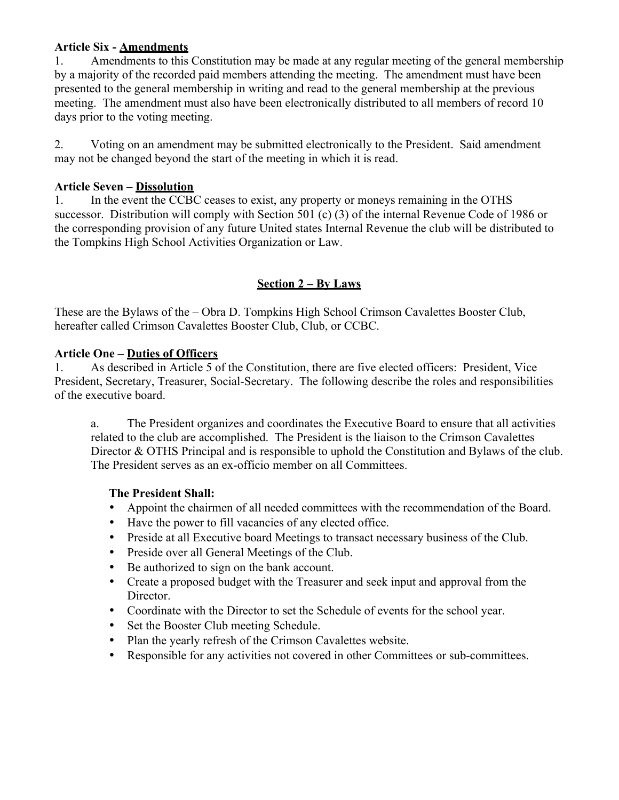## **Article Six - Amendments**

1. Amendments to this Constitution may be made at any regular meeting of the general membership by a majority of the recorded paid members attending the meeting. The amendment must have been presented to the general membership in writing and read to the general membership at the previous meeting. The amendment must also have been electronically distributed to all members of record 10 days prior to the voting meeting.

2. Voting on an amendment may be submitted electronically to the President. Said amendment may not be changed beyond the start of the meeting in which it is read.

## **Article Seven – Dissolution**

1. In the event the CCBC ceases to exist, any property or moneys remaining in the OTHS successor. Distribution will comply with Section 501 (c) (3) of the internal Revenue Code of 1986 or the corresponding provision of any future United states Internal Revenue the club will be distributed to the Tompkins High School Activities Organization or Law.

# **Section 2 – By Laws**

These are the Bylaws of the – Obra D. Tompkins High School Crimson Cavalettes Booster Club, hereafter called Crimson Cavalettes Booster Club, Club, or CCBC.

## **Article One – Duties of Officers**

1. As described in Article 5 of the Constitution, there are five elected officers: President, Vice President, Secretary, Treasurer, Social-Secretary. The following describe the roles and responsibilities of the executive board.

a. The President organizes and coordinates the Executive Board to ensure that all activities related to the club are accomplished. The President is the liaison to the Crimson Cavalettes Director & OTHS Principal and is responsible to uphold the Constitution and Bylaws of the club. The President serves as an ex-officio member on all Committees.

## **The President Shall:**

- Appoint the chairmen of all needed committees with the recommendation of the Board.
- Have the power to fill vacancies of any elected office.
- Preside at all Executive board Meetings to transact necessary business of the Club.
- Preside over all General Meetings of the Club.
- Be authorized to sign on the bank account.
- Create a proposed budget with the Treasurer and seek input and approval from the Director.
- Coordinate with the Director to set the Schedule of events for the school year.
- Set the Booster Club meeting Schedule.
- Plan the yearly refresh of the Crimson Cavalettes website.
- Responsible for any activities not covered in other Committees or sub-committees.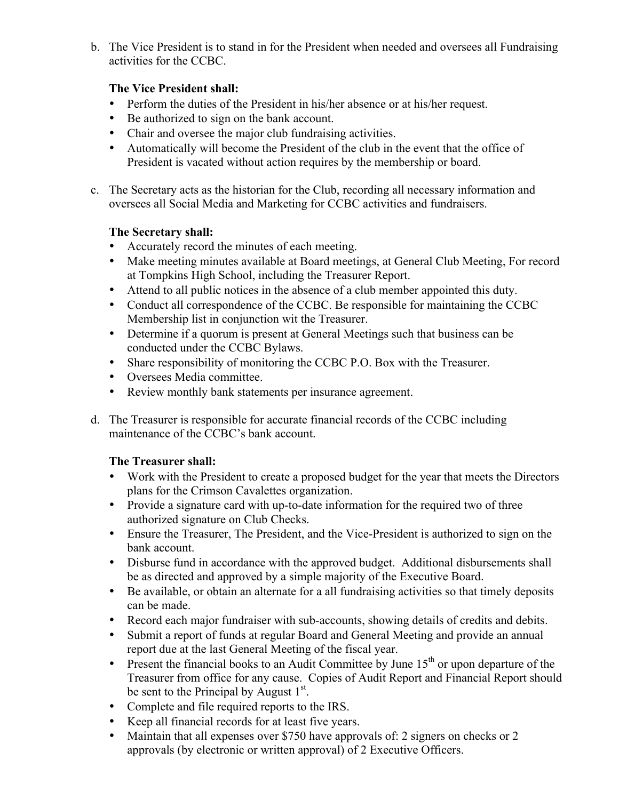b. The Vice President is to stand in for the President when needed and oversees all Fundraising activities for the CCBC.

## **The Vice President shall:**

- Perform the duties of the President in his/her absence or at his/her request.
- Be authorized to sign on the bank account.
- Chair and oversee the major club fundraising activities.
- Automatically will become the President of the club in the event that the office of President is vacated without action requires by the membership or board.
- c. The Secretary acts as the historian for the Club, recording all necessary information and oversees all Social Media and Marketing for CCBC activities and fundraisers.

## **The Secretary shall:**

- Accurately record the minutes of each meeting.
- Make meeting minutes available at Board meetings, at General Club Meeting, For record at Tompkins High School, including the Treasurer Report.
- Attend to all public notices in the absence of a club member appointed this duty.
- Conduct all correspondence of the CCBC. Be responsible for maintaining the CCBC Membership list in conjunction wit the Treasurer.
- Determine if a quorum is present at General Meetings such that business can be conducted under the CCBC Bylaws.
- Share responsibility of monitoring the CCBC P.O. Box with the Treasurer.
- Oversees Media committee.
- Review monthly bank statements per insurance agreement.
- d. The Treasurer is responsible for accurate financial records of the CCBC including maintenance of the CCBC's bank account.

# **The Treasurer shall:**

- Work with the President to create a proposed budget for the year that meets the Directors plans for the Crimson Cavalettes organization.
- Provide a signature card with up-to-date information for the required two of three authorized signature on Club Checks.
- Ensure the Treasurer, The President, and the Vice-President is authorized to sign on the bank account.
- Disburse fund in accordance with the approved budget. Additional disbursements shall be as directed and approved by a simple majority of the Executive Board.
- Be available, or obtain an alternate for a all fundraising activities so that timely deposits can be made.
- Record each major fundraiser with sub-accounts, showing details of credits and debits.
- Submit a report of funds at regular Board and General Meeting and provide an annual report due at the last General Meeting of the fiscal year.
- Present the financial books to an Audit Committee by June  $15<sup>th</sup>$  or upon departure of the Treasurer from office for any cause. Copies of Audit Report and Financial Report should be sent to the Principal by August  $1<sup>st</sup>$ .
- Complete and file required reports to the IRS.
- Keep all financial records for at least five years.
- Maintain that all expenses over \$750 have approvals of: 2 signers on checks or 2 approvals (by electronic or written approval) of 2 Executive Officers.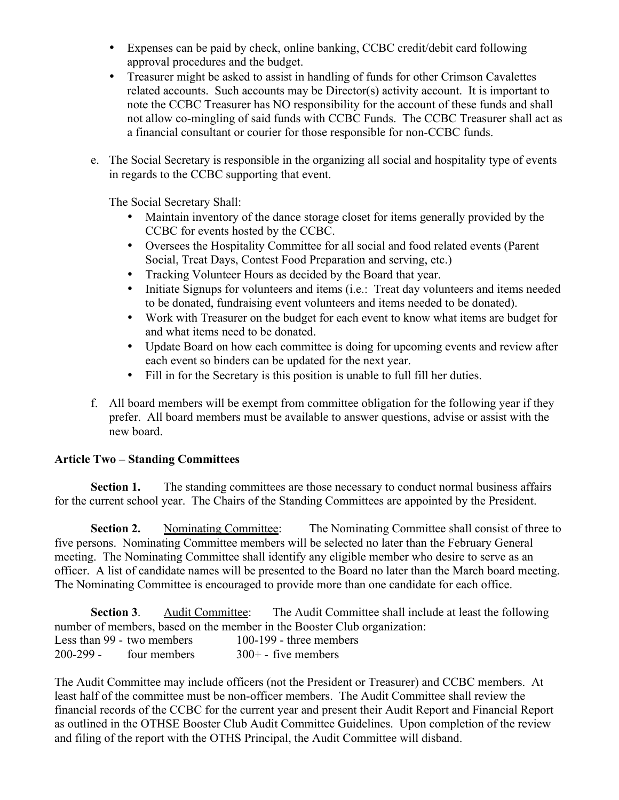- Expenses can be paid by check, online banking, CCBC credit/debit card following approval procedures and the budget.
- Treasurer might be asked to assist in handling of funds for other Crimson Cavalettes related accounts. Such accounts may be Director(s) activity account. It is important to note the CCBC Treasurer has NO responsibility for the account of these funds and shall not allow co-mingling of said funds with CCBC Funds. The CCBC Treasurer shall act as a financial consultant or courier for those responsible for non-CCBC funds.
- e. The Social Secretary is responsible in the organizing all social and hospitality type of events in regards to the CCBC supporting that event.

The Social Secretary Shall:

- Maintain inventory of the dance storage closet for items generally provided by the CCBC for events hosted by the CCBC.
- Oversees the Hospitality Committee for all social and food related events (Parent Social, Treat Days, Contest Food Preparation and serving, etc.)
- Tracking Volunteer Hours as decided by the Board that year.
- Initiate Signups for volunteers and items (i.e.: Treat day volunteers and items needed to be donated, fundraising event volunteers and items needed to be donated).
- Work with Treasurer on the budget for each event to know what items are budget for and what items need to be donated.
- Update Board on how each committee is doing for upcoming events and review after each event so binders can be updated for the next year.
- Fill in for the Secretary is this position is unable to full fill her duties.
- f. All board members will be exempt from committee obligation for the following year if they prefer. All board members must be available to answer questions, advise or assist with the new board.

## **Article Two – Standing Committees**

**Section 1.** The standing committees are those necessary to conduct normal business affairs for the current school year. The Chairs of the Standing Committees are appointed by the President.

**Section 2.** Nominating Committee: The Nominating Committee shall consist of three to five persons. Nominating Committee members will be selected no later than the February General meeting. The Nominating Committee shall identify any eligible member who desire to serve as an officer. A list of candidate names will be presented to the Board no later than the March board meeting. The Nominating Committee is encouraged to provide more than one candidate for each office.

**Section 3**. Audit Committee: The Audit Committee shall include at least the following number of members, based on the member in the Booster Club organization: Less than 99 - two members 100-199 - three members  $200-299$  - four members  $300+$  - five members

The Audit Committee may include officers (not the President or Treasurer) and CCBC members. At least half of the committee must be non-officer members. The Audit Committee shall review the financial records of the CCBC for the current year and present their Audit Report and Financial Report as outlined in the OTHSE Booster Club Audit Committee Guidelines. Upon completion of the review and filing of the report with the OTHS Principal, the Audit Committee will disband.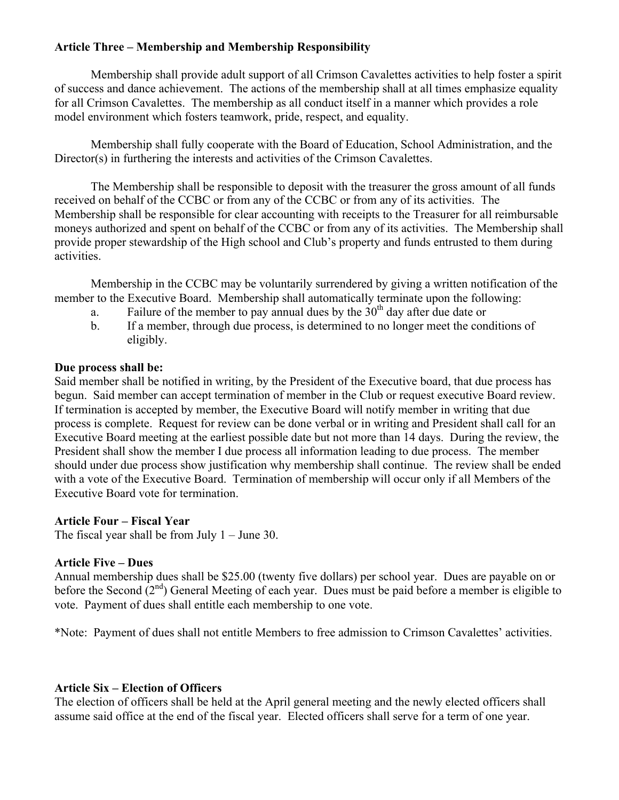## **Article Three – Membership and Membership Responsibility**

Membership shall provide adult support of all Crimson Cavalettes activities to help foster a spirit of success and dance achievement. The actions of the membership shall at all times emphasize equality for all Crimson Cavalettes. The membership as all conduct itself in a manner which provides a role model environment which fosters teamwork, pride, respect, and equality.

Membership shall fully cooperate with the Board of Education, School Administration, and the Director(s) in furthering the interests and activities of the Crimson Cavalettes.

The Membership shall be responsible to deposit with the treasurer the gross amount of all funds received on behalf of the CCBC or from any of the CCBC or from any of its activities. The Membership shall be responsible for clear accounting with receipts to the Treasurer for all reimbursable moneys authorized and spent on behalf of the CCBC or from any of its activities. The Membership shall provide proper stewardship of the High school and Club's property and funds entrusted to them during activities.

Membership in the CCBC may be voluntarily surrendered by giving a written notification of the member to the Executive Board. Membership shall automatically terminate upon the following:

- a. Failure of the member to pay annual dues by the  $30<sup>th</sup>$  day after due date or
- b. If a member, through due process, is determined to no longer meet the conditions of eligibly.

### **Due process shall be:**

Said member shall be notified in writing, by the President of the Executive board, that due process has begun. Said member can accept termination of member in the Club or request executive Board review. If termination is accepted by member, the Executive Board will notify member in writing that due process is complete. Request for review can be done verbal or in writing and President shall call for an Executive Board meeting at the earliest possible date but not more than 14 days. During the review, the President shall show the member I due process all information leading to due process. The member should under due process show justification why membership shall continue. The review shall be ended with a vote of the Executive Board. Termination of membership will occur only if all Members of the Executive Board vote for termination.

#### **Article Four – Fiscal Year**

The fiscal year shall be from July  $1 -$  June 30.

## **Article Five – Dues**

Annual membership dues shall be \$25.00 (twenty five dollars) per school year. Dues are payable on or before the Second  $(2^{nd})$  General Meeting of each year. Dues must be paid before a member is eligible to vote. Payment of dues shall entitle each membership to one vote.

\*Note: Payment of dues shall not entitle Members to free admission to Crimson Cavalettes' activities.

## **Article Six – Election of Officers**

The election of officers shall be held at the April general meeting and the newly elected officers shall assume said office at the end of the fiscal year. Elected officers shall serve for a term of one year.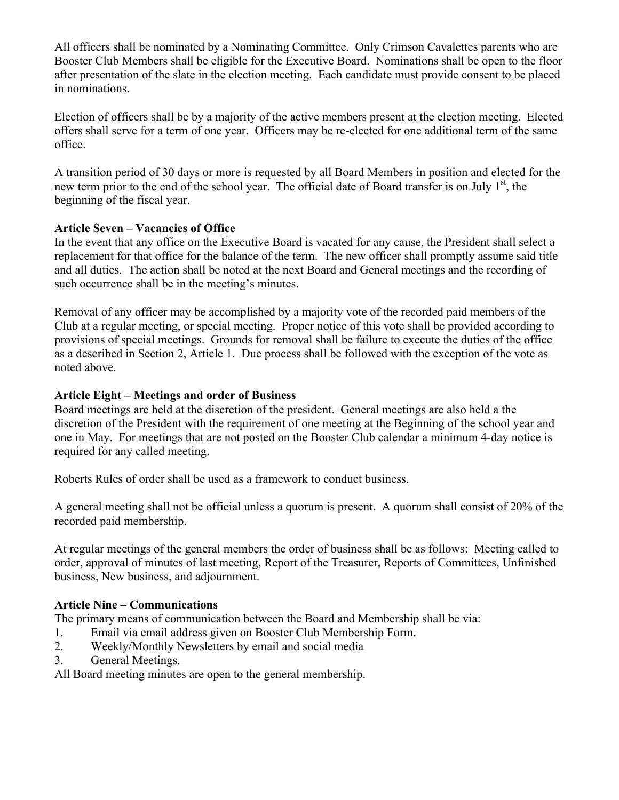All officers shall be nominated by a Nominating Committee. Only Crimson Cavalettes parents who are Booster Club Members shall be eligible for the Executive Board. Nominations shall be open to the floor after presentation of the slate in the election meeting. Each candidate must provide consent to be placed in nominations.

Election of officers shall be by a majority of the active members present at the election meeting. Elected offers shall serve for a term of one year. Officers may be re-elected for one additional term of the same office.

A transition period of 30 days or more is requested by all Board Members in position and elected for the new term prior to the end of the school year. The official date of Board transfer is on July  $1<sup>st</sup>$ , the beginning of the fiscal year.

## **Article Seven – Vacancies of Office**

In the event that any office on the Executive Board is vacated for any cause, the President shall select a replacement for that office for the balance of the term. The new officer shall promptly assume said title and all duties. The action shall be noted at the next Board and General meetings and the recording of such occurrence shall be in the meeting's minutes.

Removal of any officer may be accomplished by a majority vote of the recorded paid members of the Club at a regular meeting, or special meeting. Proper notice of this vote shall be provided according to provisions of special meetings. Grounds for removal shall be failure to execute the duties of the office as a described in Section 2, Article 1. Due process shall be followed with the exception of the vote as noted above.

## **Article Eight – Meetings and order of Business**

Board meetings are held at the discretion of the president. General meetings are also held a the discretion of the President with the requirement of one meeting at the Beginning of the school year and one in May. For meetings that are not posted on the Booster Club calendar a minimum 4-day notice is required for any called meeting.

Roberts Rules of order shall be used as a framework to conduct business.

A general meeting shall not be official unless a quorum is present. A quorum shall consist of 20% of the recorded paid membership.

At regular meetings of the general members the order of business shall be as follows: Meeting called to order, approval of minutes of last meeting, Report of the Treasurer, Reports of Committees, Unfinished business, New business, and adjournment.

## **Article Nine – Communications**

The primary means of communication between the Board and Membership shall be via:

- 1. Email via email address given on Booster Club Membership Form.
- 2. Weekly/Monthly Newsletters by email and social media
- 3. General Meetings.

All Board meeting minutes are open to the general membership.